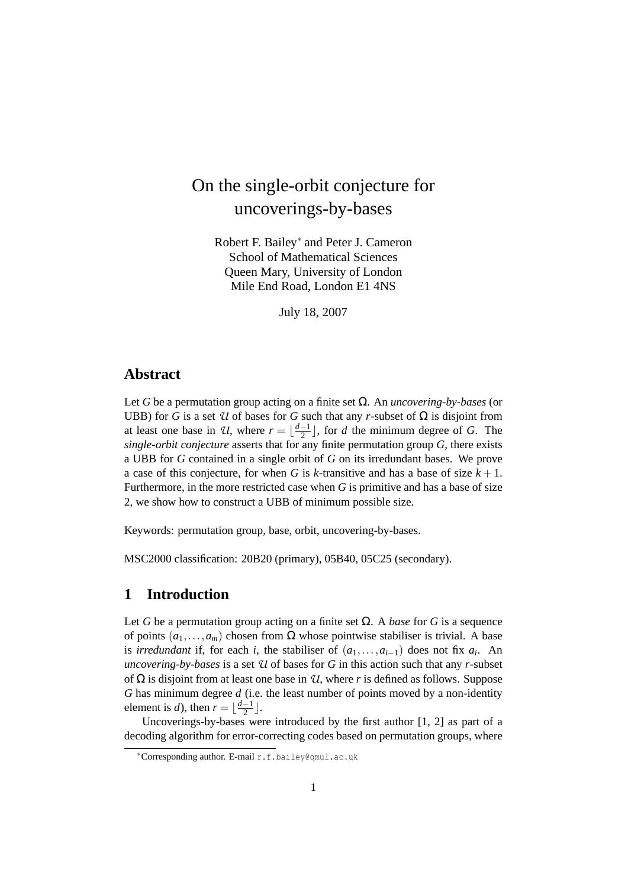# On the single-orbit conjecture for uncoverings-by-bases

Robert F. Bailey<sup>∗</sup> and Peter J. Cameron School of Mathematical Sciences Queen Mary, University of London Mile End Road, London E1 4NS

July 18, 2007

## **Abstract**

Let *G* be a permutation group acting on a finite set Ω. An *uncovering-by-bases* (or UBB) for *G* is a set  $U$  of bases for *G* such that any *r*-subset of  $\Omega$  is disjoint from at least one base in *U*, where  $r = \lfloor \frac{d-1}{2} \rfloor$  $\frac{-1}{2}$ , for *d* the minimum degree of *G*. The *single-orbit conjecture* asserts that for any finite permutation group *G*, there exists a UBB for *G* contained in a single orbit of *G* on its irredundant bases. We prove a case of this conjecture, for when *G* is *k*-transitive and has a base of size  $k + 1$ . Furthermore, in the more restricted case when *G* is primitive and has a base of size 2, we show how to construct a UBB of minimum possible size.

Keywords: permutation group, base, orbit, uncovering-by-bases.

MSC2000 classification: 20B20 (primary), 05B40, 05C25 (secondary).

## **1 Introduction**

Let *G* be a permutation group acting on a finite set  $\Omega$ . A *base* for *G* is a sequence of points  $(a_1,...,a_m)$  chosen from  $\Omega$  whose pointwise stabiliser is trivial. A base is *irredundant* if, for each *i*, the stabiliser of  $(a_1, \ldots, a_{i-1})$  does not fix  $a_i$ . An *uncovering-by-bases* is a set *U* of bases for *G* in this action such that any *r*-subset of Ω is disjoint from at least one base in *U*, where *r* is defined as follows. Suppose *G* has minimum degree *d* (i.e. the least number of points moved by a non-identity element is *d*), then  $r = \frac{d-1}{2}$  $\frac{-1}{2}$ .

Uncoverings-by-bases were introduced by the first author [1, 2] as part of a decoding algorithm for error-correcting codes based on permutation groups, where

<sup>∗</sup>Corresponding author. E-mail r.f.bailey@qmul.ac.uk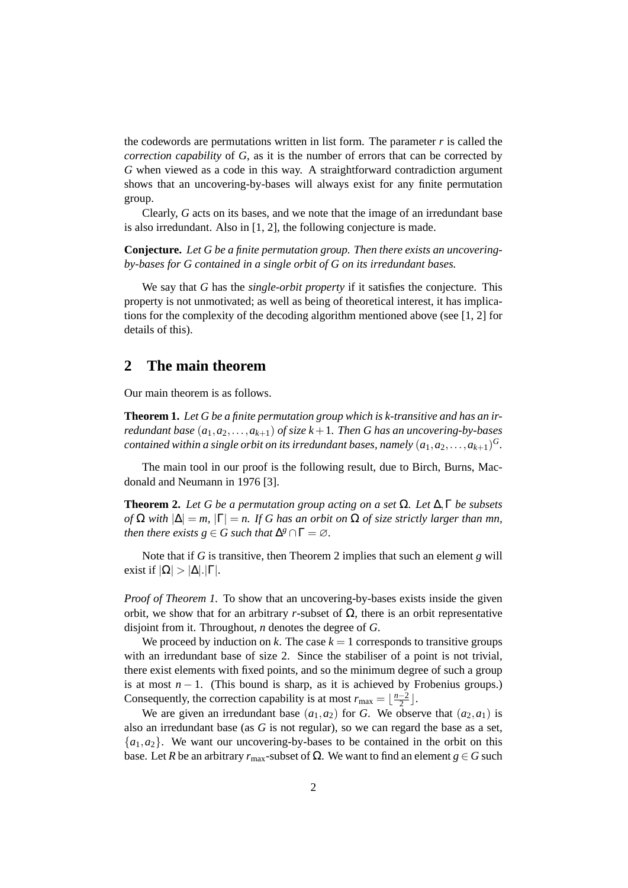the codewords are permutations written in list form. The parameter *r* is called the *correction capability* of *G*, as it is the number of errors that can be corrected by *G* when viewed as a code in this way. A straightforward contradiction argument shows that an uncovering-by-bases will always exist for any finite permutation group.

Clearly, *G* acts on its bases, and we note that the image of an irredundant base is also irredundant. Also in [1, 2], the following conjecture is made.

**Conjecture.** *Let G be a finite permutation group. Then there exists an uncoveringby-bases for G contained in a single orbit of G on its irredundant bases.*

We say that *G* has the *single-orbit property* if it satisfies the conjecture. This property is not unmotivated; as well as being of theoretical interest, it has implications for the complexity of the decoding algorithm mentioned above (see [1, 2] for details of this).

#### **2 The main theorem**

Our main theorem is as follows.

**Theorem 1.** *Let G be a finite permutation group which is k-transitive and has an irredundant base*  $(a_1, a_2, \ldots, a_{k+1})$  *of size*  $k+1$ *. Then G has an uncovering-by-bases contained within a single orbit on its irredundant bases, namely*  $(a_1, a_2, \ldots, a_{k+1})^G$ .

The main tool in our proof is the following result, due to Birch, Burns, Macdonald and Neumann in 1976 [3].

**Theorem 2.** *Let G be a permutation group acting on a set* Ω*. Let* ∆,Γ *be subsets of*  $\Omega$  *with*  $|\Delta| = m$ ,  $|\Gamma| = n$ . If G has an orbit on  $\Omega$  of size strictly larger than mn, *then there exists*  $g \in G$  *such that*  $\Delta^g \cap \Gamma = \varnothing$ *.* 

Note that if *G* is transitive, then Theorem 2 implies that such an element *g* will exist if  $|\Omega| > |\Delta|.|\Gamma|.$ 

*Proof of Theorem 1.* To show that an uncovering-by-bases exists inside the given orbit, we show that for an arbitrary *r*-subset of Ω, there is an orbit representative disjoint from it. Throughout, *n* denotes the degree of *G*.

We proceed by induction on k. The case  $k = 1$  corresponds to transitive groups with an irredundant base of size 2. Since the stabiliser of a point is not trivial. there exist elements with fixed points, and so the minimum degree of such a group is at most  $n - 1$ . (This bound is sharp, as it is achieved by Frobenius groups.) Consequently, the correction capability is at most  $r_{\text{max}} = \lfloor \frac{n-2}{2} \rfloor$  $\frac{-2}{2}$ .

We are given an irredundant base  $(a_1, a_2)$  for *G*. We observe that  $(a_2, a_1)$  is also an irredundant base (as *G* is not regular), so we can regard the base as a set,  ${a_1, a_2}$ . We want our uncovering-by-bases to be contained in the orbit on this base. Let *R* be an arbitrary *r*<sub>max</sub>-subset of Ω. We want to find an element *g* ∈ *G* such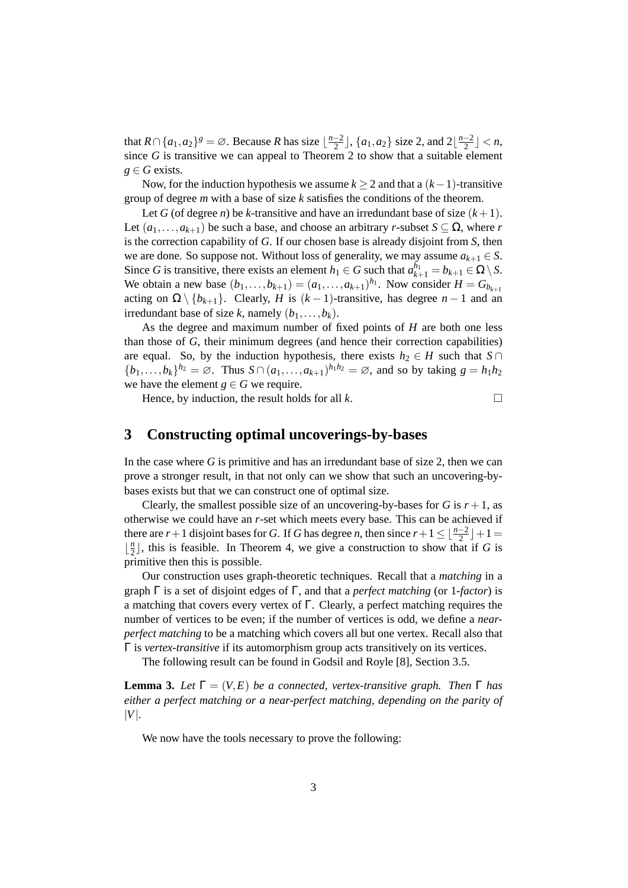that  $R \cap \{a_1, a_2\}^g = \emptyset$ . Because *R* has size  $\lfloor \frac{n-2}{2} \rfloor$  $\frac{-2}{2}$ ],  $\{a_1, a_2\}$  size 2, and  $2\left\lfloor \frac{n-2}{2} \right\rfloor$  $\frac{-2}{2}$ ]  $<$  n, since *G* is transitive we can appeal to Theorem 2 to show that a suitable element  $g \in G$  exists.

Now, for the induction hypothesis we assume *k* ≥ 2 and that a (*k*−1)-transitive group of degree *m* with a base of size *k* satisfies the conditions of the theorem.

Let *G* (of degree *n*) be *k*-transitive and have an irredundant base of size  $(k+1)$ . Let  $(a_1, \ldots, a_{k+1})$  be such a base, and choose an arbitrary *r*-subset  $S \subseteq \Omega$ , where *r* is the correction capability of *G*. If our chosen base is already disjoint from *S*, then we are done. So suppose not. Without loss of generality, we may assume  $a_{k+1} \in S$ . Since *G* is transitive, there exists an element  $h_1 \in G$  such that  $a_{k+1}^{h_1} = b_{k+1} \in \Omega \setminus S$ . We obtain a new base  $(b_1, ..., b_{k+1}) = (a_1, ..., a_{k+1})^{h_1}$ . Now consider  $H = G_{b_{k+1}}$ acting on  $\Omega \setminus \{b_{k+1}\}\$ . Clearly, *H* is  $(k-1)$ -transitive, has degree *n* − 1 and an irredundant base of size *k*, namely  $(b_1, \ldots, b_k)$ .

As the degree and maximum number of fixed points of *H* are both one less than those of *G*, their minimum degrees (and hence their correction capabilities) are equal. So, by the induction hypothesis, there exists  $h_2 \in H$  such that  $S \cap$  ${b_1,\ldots,b_k}^{h_2} = \emptyset$ . Thus  $S \cap (a_1,\ldots,a_{k+1})^{h_1h_2} = \emptyset$ , and so by taking  $g = h_1h_2$ we have the element  $g \in G$  we require.

Hence, by induction, the result holds for all  $k$ .

#### **3 Constructing optimal uncoverings-by-bases**

In the case where *G* is primitive and has an irredundant base of size 2, then we can prove a stronger result, in that not only can we show that such an uncovering-bybases exists but that we can construct one of optimal size.

Clearly, the smallest possible size of an uncovering-by-bases for  $G$  is  $r + 1$ , as otherwise we could have an *r*-set which meets every base. This can be achieved if there are *r*+1 disjoint bases for *G*. If *G* has degree *n*, then since  $r+1 \leq \lfloor \frac{n-2}{2} \rfloor + 1 =$  $\frac{n}{2}$  $\frac{n}{2}$ , this is feasible. In Theorem 4, we give a construction to show that if *G* is primitive then this is possible.

Our construction uses graph-theoretic techniques. Recall that a *matching* in a graph Γ is a set of disjoint edges of Γ, and that a *perfect matching* (or 1*-factor*) is a matching that covers every vertex of Γ. Clearly, a perfect matching requires the number of vertices to be even; if the number of vertices is odd, we define a *nearperfect matching* to be a matching which covers all but one vertex. Recall also that Γ is *vertex-transitive* if its automorphism group acts transitively on its vertices.

The following result can be found in Godsil and Royle [8], Section 3.5.

**Lemma 3.** *Let*  $\Gamma = (V, E)$  *be a connected, vertex-transitive graph. Then*  $\Gamma$  *has either a perfect matching or a near-perfect matching, depending on the parity of* |*V*|*.*

We now have the tools necessary to prove the following: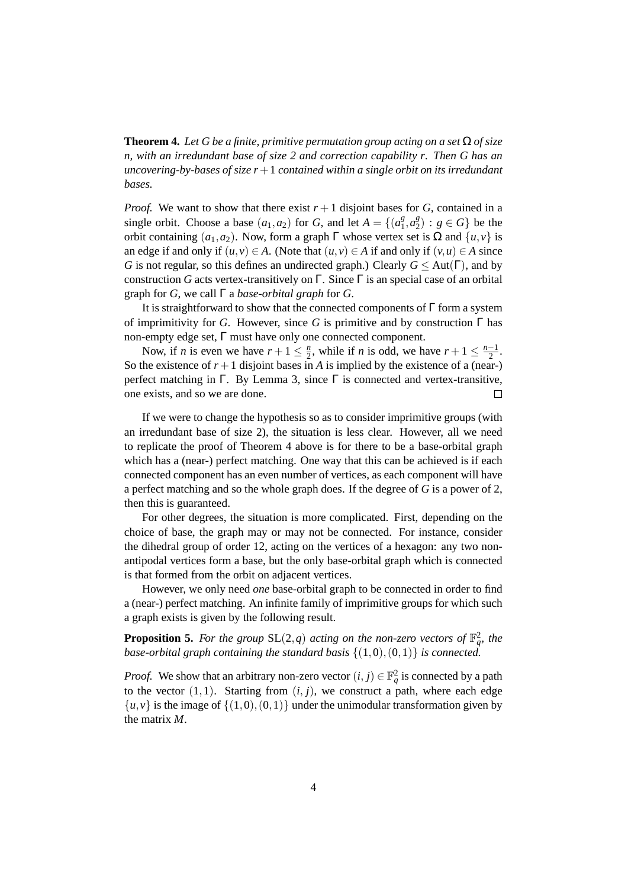**Theorem 4.** Let G be a finite, primitive permutation group acting on a set  $\Omega$  of size *n, with an irredundant base of size 2 and correction capability r. Then G has an uncovering-by-bases of size r*+1 *contained within a single orbit on its irredundant bases.*

*Proof.* We want to show that there exist  $r + 1$  disjoint bases for *G*, contained in a single orbit. Choose a base  $(a_1, a_2)$  for *G*, and let  $A = \{(a_1^g)$  $a_1^g, a_2^g$  $2^{\{g\}}_2$  :  $g \in G$ } be the orbit containing  $(a_1, a_2)$ . Now, form a graph  $\Gamma$  whose vertex set is  $\Omega$  and  $\{u, v\}$  is an edge if and only if  $(u, v) \in A$ . (Note that  $(u, v) \in A$  if and only if  $(v, u) \in A$  since *G* is not regular, so this defines an undirected graph.) Clearly  $G \leq Aut(\Gamma)$ , and by construction *G* acts vertex-transitively on Γ. Since Γ is an special case of an orbital graph for *G*, we call Γ a *base-orbital graph* for *G*.

It is straightforward to show that the connected components of  $\Gamma$  form a system of imprimitivity for *G*. However, since *G* is primitive and by construction Γ has non-empty edge set, Γ must have only one connected component.

Now, if *n* is even we have  $r + 1 \leq \frac{n}{2}$  $\frac{n}{2}$ , while if *n* is odd, we have  $r + 1 \leq \frac{n-1}{2}$  $\frac{-1}{2}$ . So the existence of  $r + 1$  disjoint bases in *A* is implied by the existence of a (near-) perfect matching in Γ. By Lemma 3, since  $\Gamma$  is connected and vertex-transitive, one exists, and so we are done.  $\Box$ 

If we were to change the hypothesis so as to consider imprimitive groups (with an irredundant base of size 2), the situation is less clear. However, all we need to replicate the proof of Theorem 4 above is for there to be a base-orbital graph which has a (near-) perfect matching. One way that this can be achieved is if each connected component has an even number of vertices, as each component will have a perfect matching and so the whole graph does. If the degree of *G* is a power of 2, then this is guaranteed.

For other degrees, the situation is more complicated. First, depending on the choice of base, the graph may or may not be connected. For instance, consider the dihedral group of order 12, acting on the vertices of a hexagon: any two nonantipodal vertices form a base, but the only base-orbital graph which is connected is that formed from the orbit on adjacent vertices.

However, we only need *one* base-orbital graph to be connected in order to find a (near-) perfect matching. An infinite family of imprimitive groups for which such a graph exists is given by the following result.

**Proposition 5.** For the group  $SL(2,q)$  acting on the non-zero vectors of  $\mathbb{F}_q^2$ , the *base-orbital graph containing the standard basis*  $\{(1,0),(0,1)\}$  *is connected.* 

*Proof.* We show that an arbitrary non-zero vector  $(i, j) \in \mathbb{F}_q^2$  is connected by a path to the vector  $(1,1)$ . Starting from  $(i, j)$ , we construct a path, where each edge  $\{u, v\}$  is the image of  $\{(1,0), (0,1)\}$  under the unimodular transformation given by the matrix *M*.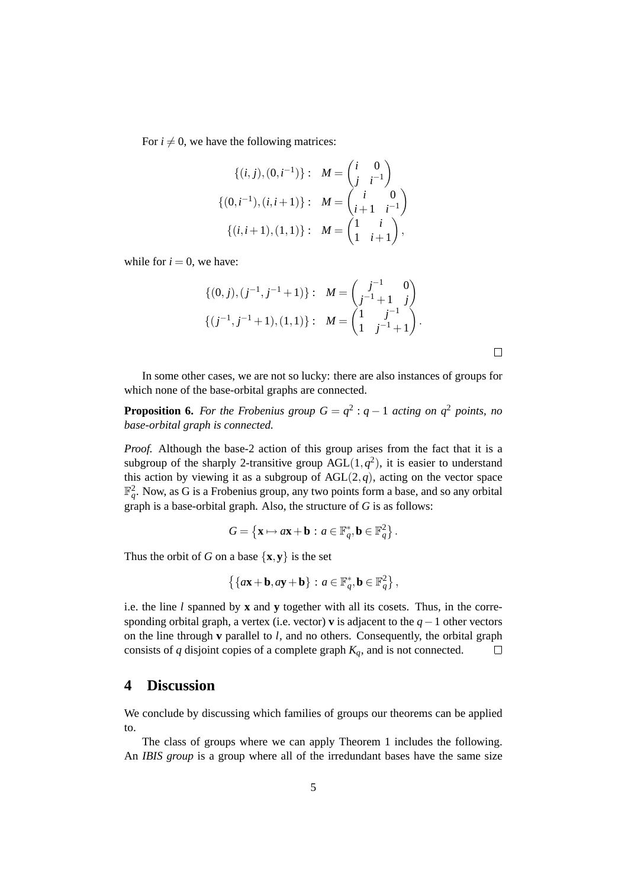For  $i \neq 0$ , we have the following matrices:

$$
\{(i, j), (0, i^{-1})\}: \quad M = \begin{pmatrix} i & 0 \\ j & i^{-1} \end{pmatrix}
$$

$$
\{(0, i^{-1}), (i, i+1)\}: \quad M = \begin{pmatrix} i & 0 \\ i+1 & i^{-1} \end{pmatrix}
$$

$$
\{(i, i+1), (1, 1)\}: \quad M = \begin{pmatrix} 1 & i \\ 1 & i+1 \end{pmatrix},
$$

while for  $i = 0$ , we have:

$$
\{(0,j),(j^{-1},j^{-1}+1)\}:\quad M=\begin{pmatrix}j^{-1}&0\\j^{-1}+1&j\end{pmatrix}
$$

$$
\{(j^{-1},j^{-1}+1),(1,1)\}:\quad M=\begin{pmatrix}1&j^{-1}\\1&j^{-1}+1\end{pmatrix}.
$$

In some other cases, we are not so lucky: there are also instances of groups for which none of the base-orbital graphs are connected.

**Proposition 6.** For the Frobenius group  $G = q^2 : q - 1$  acting on  $q^2$  points, no *base-orbital graph is connected.*

*Proof.* Although the base-2 action of this group arises from the fact that it is a subgroup of the sharply 2-transitive group  $AGL(1,q^2)$ , it is easier to understand this action by viewing it as a subgroup of  $AGL(2,q)$ , acting on the vector space  $\mathbb{F}_q^2$ . Now, as G is a Frobenius group, any two points form a base, and so any orbital graph is a base-orbital graph. Also, the structure of *G* is as follows:

$$
G = \left\{ \mathbf{x} \mapsto a\mathbf{x} + \mathbf{b} : a \in \mathbb{F}_q^*, \mathbf{b} \in \mathbb{F}_q^2 \right\}.
$$

Thus the orbit of *G* on a base  $\{x, y\}$  is the set

$$
\left\{\left\{a\mathbf{x}+\mathbf{b},a\mathbf{y}+\mathbf{b}\right\}\,:\,a\in\mathbb{F}_q^*,\mathbf{b}\in\mathbb{F}_q^2\right\},\
$$

i.e. the line *l* spanned by **x** and **y** together with all its cosets. Thus, in the corresponding orbital graph, a vertex (i.e. vector) **v** is adjacent to the *q*−1 other vectors on the line through **v** parallel to *l*, and no others. Consequently, the orbital graph consists of *q* disjoint copies of a complete graph *Kq*, and is not connected.  $\Box$ 

#### **4 Discussion**

We conclude by discussing which families of groups our theorems can be applied to.

The class of groups where we can apply Theorem 1 includes the following. An *IBIS group* is a group where all of the irredundant bases have the same size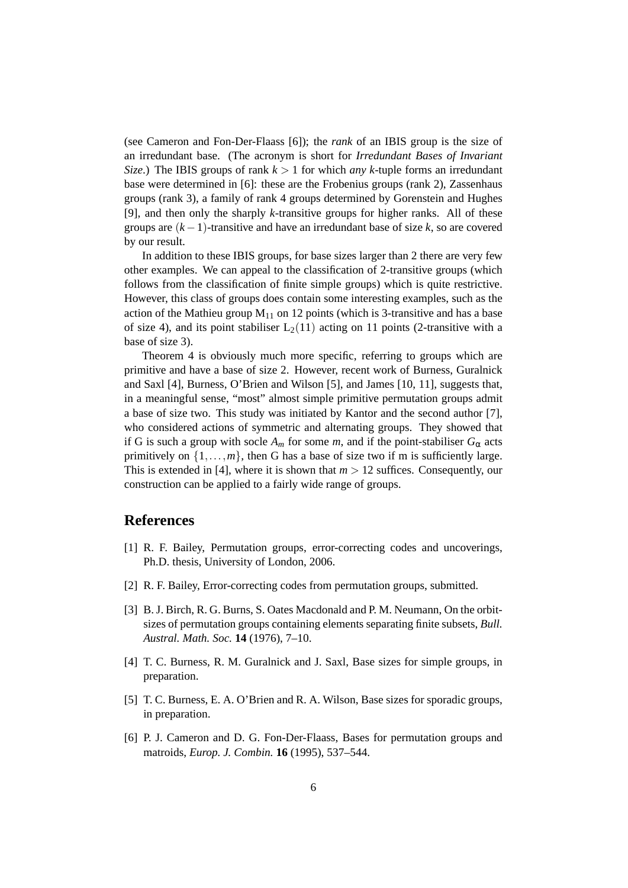(see Cameron and Fon-Der-Flaass [6]); the *rank* of an IBIS group is the size of an irredundant base. (The acronym is short for *Irredundant Bases of Invariant Size.*) The IBIS groups of rank  $k > 1$  for which *any k*-tuple forms an irredundant base were determined in [6]: these are the Frobenius groups (rank 2), Zassenhaus groups (rank 3), a family of rank 4 groups determined by Gorenstein and Hughes [9], and then only the sharply *k*-transitive groups for higher ranks. All of these groups are (*k*−1)-transitive and have an irredundant base of size *k*, so are covered by our result.

In addition to these IBIS groups, for base sizes larger than 2 there are very few other examples. We can appeal to the classification of 2-transitive groups (which follows from the classification of finite simple groups) which is quite restrictive. However, this class of groups does contain some interesting examples, such as the action of the Mathieu group  $M_{11}$  on 12 points (which is 3-transitive and has a base of size 4), and its point stabiliser  $L_2(11)$  acting on 11 points (2-transitive with a base of size 3).

Theorem 4 is obviously much more specific, referring to groups which are primitive and have a base of size 2. However, recent work of Burness, Guralnick and Saxl [4], Burness, O'Brien and Wilson [5], and James [10, 11], suggests that, in a meaningful sense, "most" almost simple primitive permutation groups admit a base of size two. This study was initiated by Kantor and the second author [7], who considered actions of symmetric and alternating groups. They showed that if G is such a group with socle  $A_m$  for some *m*, and if the point-stabiliser  $G_\alpha$  acts primitively on  $\{1,\ldots,m\}$ , then G has a base of size two if m is sufficiently large. This is extended in [4], where it is shown that  $m > 12$  suffices. Consequently, our construction can be applied to a fairly wide range of groups.

#### **References**

- [1] R. F. Bailey, Permutation groups, error-correcting codes and uncoverings, Ph.D. thesis, University of London, 2006.
- [2] R. F. Bailey, Error-correcting codes from permutation groups, submitted.
- [3] B. J. Birch, R. G. Burns, S. Oates Macdonald and P. M. Neumann, On the orbitsizes of permutation groups containing elements separating finite subsets, *Bull. Austral. Math. Soc.* **14** (1976), 7–10.
- [4] T. C. Burness, R. M. Guralnick and J. Saxl, Base sizes for simple groups, in preparation.
- [5] T. C. Burness, E. A. O'Brien and R. A. Wilson, Base sizes for sporadic groups, in preparation.
- [6] P. J. Cameron and D. G. Fon-Der-Flaass, Bases for permutation groups and matroids, *Europ. J. Combin.* **16** (1995), 537–544.